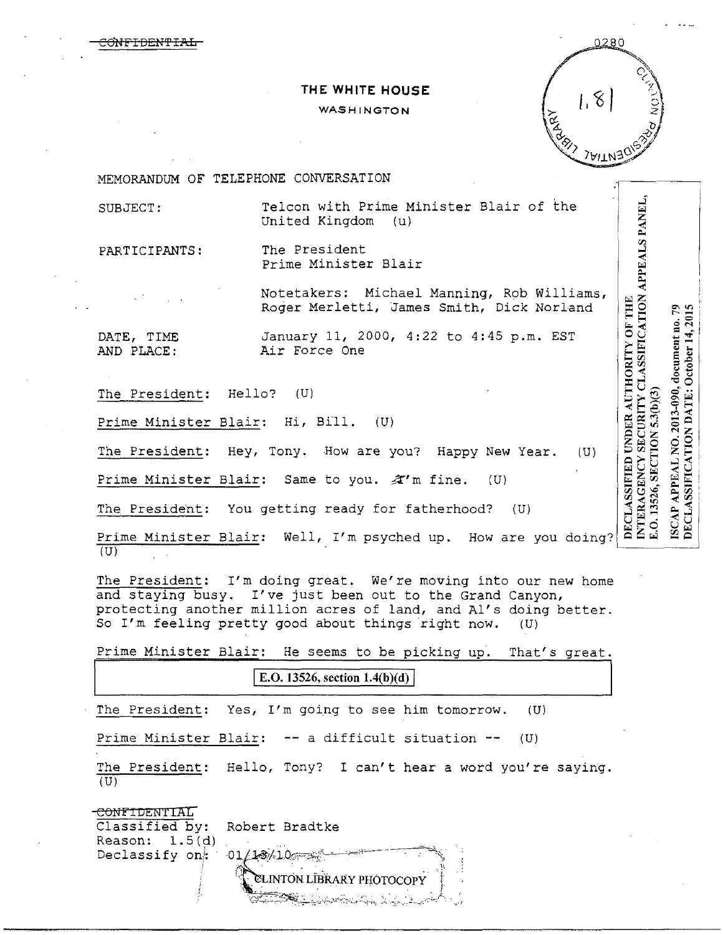**THE WHITE HOUSE** 

## WASHINGTON



1

MEMORANDUM OF TELEPHONE CONVERSATION

SUBJECT: Telcon with Prime Minister Blair of the United Kingdom (u)

<del>CONFIDENTIAL</del>

PARTICIPANTS: The President Prime Minister Blair

> Notetakers: Michael Manning, Rob Williams, Roger Merletti, James Smith, Dick Norland

DATE, TIME January 11, 2000, 4:22 to 4:45 p.m. EST<br>AND PLACE: Air Force One Air Force One

The President: Hello? (U)

Prime Minister Blair: Hi, Bill. (U)

The President: Hey, Tony. How are you? Happy New Year. (U)

Prime Minister Blair: Same to you.  $\mathcal{X}'$ m fine. (U)

The President: You getting ready for fatherhood? (U)

SUBJECT: Telcon with Prime Minister Blair of the<br>
United Kingdom (u)<br>
PRATICIPANTS: The President<br>
Prime Minister Blair<br>
Nodera Mericiti, James Smith, Dick Norland<br>
DATE, TIME<br>
DATE, TIME January 11, 2000, 4:22 to 4:45 p.m

The President: I'm doing great. We're moving into our new home and staying busy. I've just been out to the Grand Canyon, protecting another million acres of land, and Al's doing better. So I'm feeling pretty good about things right now. (U)

Prime Minister Blair: He seems to be picking up. That's great .

E.O. 13526, section  $1.4(b)(d)$ 

The President: Yes, I'm going to see him tomorrow. (U)

Prime Minister Blair: -- a difficult situation -- (U)

The President: Hello, Tony? I can't hear a word you're saying.  $(U)$ 

CONFIDENTIAL Classified by: Robert Bradtke<br>Reason: 1.5(d) Reason: Declassify on:  $01/18/10$ **ELINTÓN LÍBRARY PHOTOCOPY**  $\mathbb{Z}$  . The state of  $\mathbb{Z}$  is the state of  $\mathbb{Z}$  ,  $\mathbb{Z}$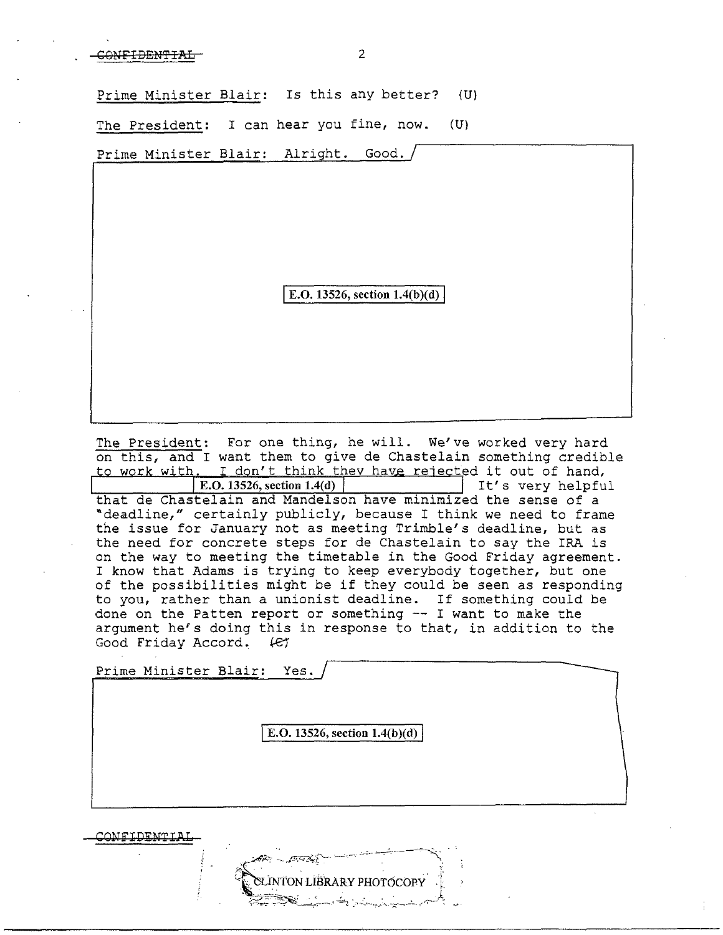Prime Minister Blair: Is this any better? (U)

The President: I can hear you fine, now. (U)

Prime Minister Blair: Alright. Good.

E.O. 13526, section  $1.4(b)(d)$ 

The President: For one thing, he will. We've worked very hard on this, and I want them to give de Chastelain something credible to work with. I don't think they have rejected it out of hand,<br>E.O. 13526, section 1.4(d) | It's very helpfu It's very helpful. that de Chastelain and Mandelson have minimized the sense of a<br>"deadline," certainly publicly, because I think we need to frame the issue for January not as meeting Trimble's deadline, but as the need for concrete steps for de Chastelain to say the IRA is on the way to meeting the timetable in the Good Friday agreement. I know that Adams is trying to keep everybody together, but one of the possibilities might be if they could be seen as responding to you, rather than a unionist deadline. If something could be done on the Patten report or something -- I want to make the argument he's doing this in response to that, in addition to the Good Friday Accord. (et

Prime Minister Blair: Yes.

E.O. 13526, section  $1.4(b)(d)$ 

INTON LIBRARY PHOTOCOPY

CONi'IDiNTIAJ.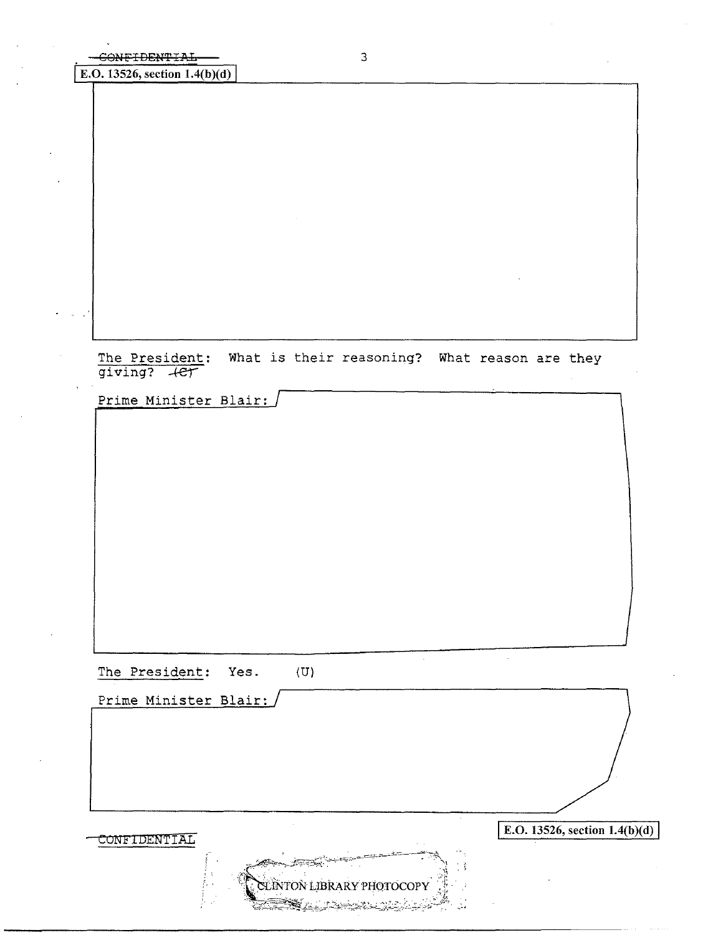E.O. 13526, section  $1.4(b)(d)$ 

The President: What is their reasoning? What reason are they giving? +et

Prime Minister Blair:

The President: Yes. (U)

Prime Minister Blair:  $\overline{\text{E.O. 13526, section 1.4(b)(d)}}$ CLÌNTON LIBR ΑRY ΡΗΟΤΟΣΟΡΥ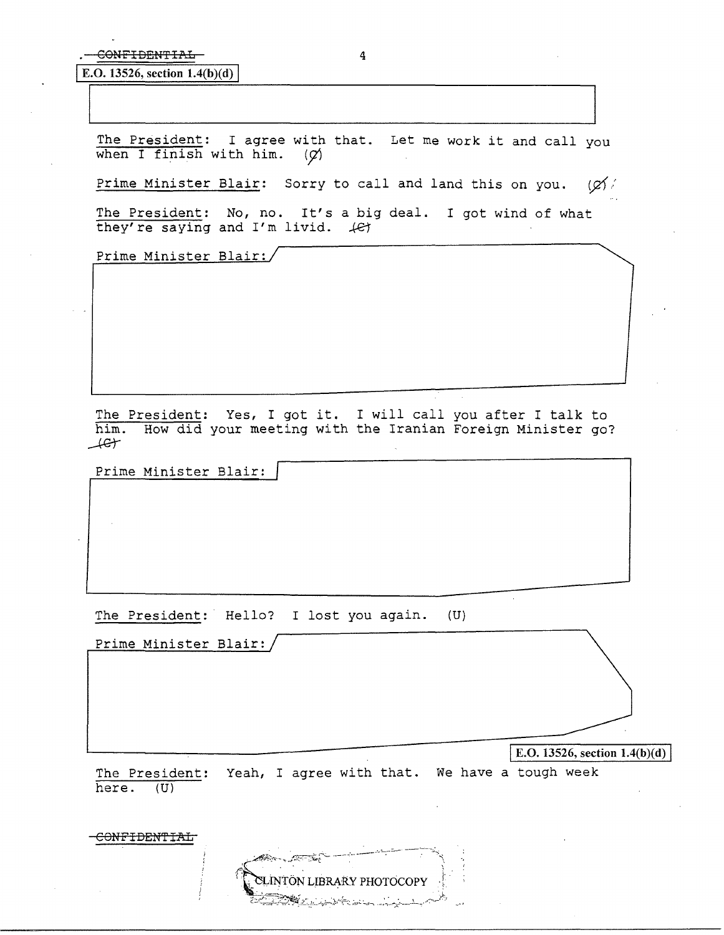E.O. 13526, section  $1.4(b)(d)$ 

The President: I agree with that. Let me work it and call you when I finish with him.  $\langle \varphi \rangle$ when I finish with him.

Prime Minister Blair: Sorry to call and land this on you.  $\langle \varphi \rangle$ 

The President: No, no. It's a big deal. I got wind of what they're saying and  $I'm$  livid.  $\mathcal{L}$ 

Prime Minister Blair:

The President: Yes, I got it. I will call you after I talk to him. How did your meeting with the Iranian Foreign Minister go?  $\perp$ 

Prime Minister Blair:

The President: Hello? I lost you again. (U)

Prime Minister Blair:

 $\overline{E_{\cdot}, \overline{C_{\cdot}, \overline{C_{\cdot}}}}$   $\overline{E_{\cdot}, \overline{C_{\cdot}, \overline{C_{\cdot}}}}$   $\overline{E_{\cdot}, \overline{C_{\cdot}}}}$   $\overline{E_{\cdot}, \overline{C_{\cdot}}}}$   $\overline{E_{\cdot}, \overline{C_{\cdot}}}}$   $\overline{E_{\cdot}, \overline{C_{\cdot}}}}$   $\overline{E_{\cdot}, \overline{C_{\cdot}}}}$   $\overline{E_{\cdot}, \overline{C_{\cdot}}}}$   $\overline{E_{\cdot}, \overline{C_{\cdot}}}}$   $\overline{$ 

The President: Yeah, I agree with that. We have a tough week here. (U)

CONPIDEN'fIAL **LINTÖN LIBRARY PHOTOCOPY**